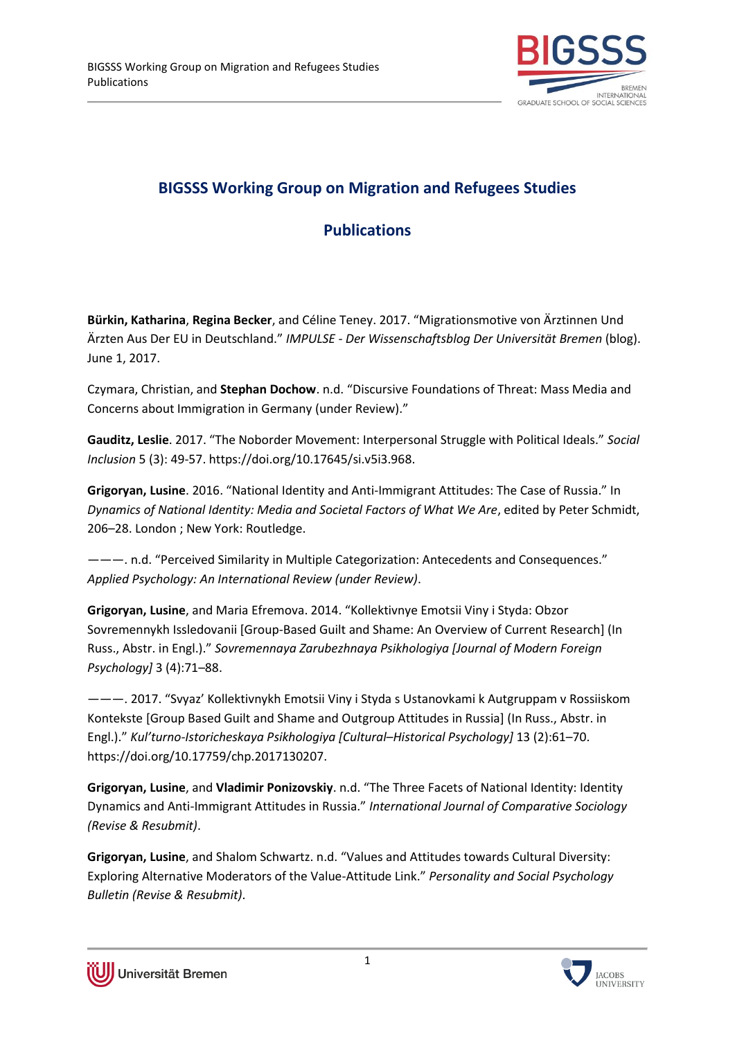

## **BIGSSS Working Group on Migration and Refugees Studies**

## **Publications**

**Bürkin, Katharina**, **Regina Becker**, and Céline Teney. 2017. "Migrationsmotive von Ärztinnen Und Ärzten Aus Der EU in Deutschland." *IMPULSE - Der Wissenschaftsblog Der Universität Bremen* (blog). June 1, 2017.

Czymara, Christian, and **Stephan Dochow**. n.d. "Discursive Foundations of Threat: Mass Media and Concerns about Immigration in Germany (under Review)."

**Gauditz, Leslie**. 2017. "The Noborder Movement: Interpersonal Struggle with Political Ideals." *Social Inclusion* 5 (3): 49-57. https://doi.org/10.17645/si.v5i3.968.

**Grigoryan, Lusine**. 2016. "National Identity and Anti-Immigrant Attitudes: The Case of Russia." In *Dynamics of National Identity: Media and Societal Factors of What We Are*, edited by Peter Schmidt, 206–28. London ; New York: Routledge.

———. n.d. "Perceived Similarity in Multiple Categorization: Antecedents and Consequences." *Applied Psychology: An International Review (under Review)*.

**Grigoryan, Lusine**, and Maria Efremova. 2014. "Kollektivnye Emotsii Viny i Styda: Obzor Sovremennykh Issledovanii [Group-Based Guilt and Shame: An Overview of Current Research] (In Russ., Аbstr. in Engl.)." *Sovremennaya Zarubezhnaya Psikhologiya [Journal of Modern Foreign Psychology]* 3 (4):71–88.

———. 2017. "Svyaz' Kollektivnykh Emotsii Viny i Styda s Ustanovkami k Autgruppam v Rossiiskom Kontekste [Group Based Guilt and Shame and Outgroup Attitudes in Russia] (In Russ., Аbstr. in Engl.)." *Kul'turno-Istoricheskaya Psikhologiya [Cultural–Historical Psychology]* 13 (2):61–70. https://doi.org/10.17759/chp.2017130207.

**Grigoryan, Lusine**, and **Vladimir Ponizovskiy**. n.d. "The Three Facets of National Identity: Identity Dynamics and Anti-Immigrant Attitudes in Russia." *International Journal of Comparative Sociology (Revise & Resubmit)*.

**Grigoryan, Lusine**, and Shalom Schwartz. n.d. "Values and Attitudes towards Cultural Diversity: Exploring Alternative Moderators of the Value-Attitude Link." *Personality and Social Psychology Bulletin (Revise & Resubmit)*.